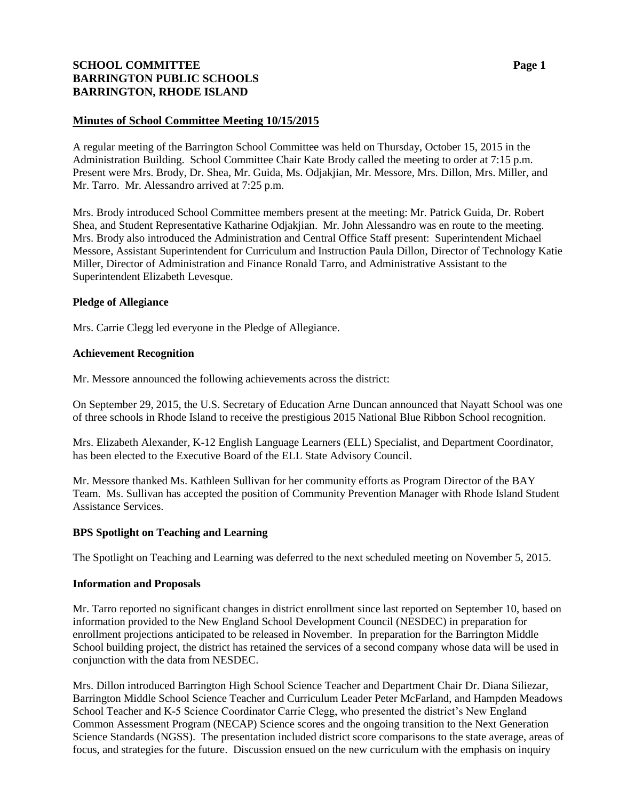# **SCHOOL COMMITTEE Page 1 BARRINGTON PUBLIC SCHOOLS BARRINGTON, RHODE ISLAND**

### **Minutes of School Committee Meeting 10/15/2015**

A regular meeting of the Barrington School Committee was held on Thursday, October 15, 2015 in the Administration Building. School Committee Chair Kate Brody called the meeting to order at 7:15 p.m. Present were Mrs. Brody, Dr. Shea, Mr. Guida, Ms. Odjakjian, Mr. Messore, Mrs. Dillon, Mrs. Miller, and Mr. Tarro. Mr. Alessandro arrived at 7:25 p.m.

Mrs. Brody introduced School Committee members present at the meeting: Mr. Patrick Guida, Dr. Robert Shea, and Student Representative Katharine Odjakjian. Mr. John Alessandro was en route to the meeting. Mrs. Brody also introduced the Administration and Central Office Staff present: Superintendent Michael Messore, Assistant Superintendent for Curriculum and Instruction Paula Dillon, Director of Technology Katie Miller, Director of Administration and Finance Ronald Tarro, and Administrative Assistant to the Superintendent Elizabeth Levesque.

### **Pledge of Allegiance**

Mrs. Carrie Clegg led everyone in the Pledge of Allegiance.

### **Achievement Recognition**

Mr. Messore announced the following achievements across the district:

On September 29, 2015, the U.S. Secretary of Education Arne Duncan announced that Nayatt School was one of three schools in Rhode Island to receive the prestigious 2015 National Blue Ribbon School recognition.

Mrs. Elizabeth Alexander, K-12 English Language Learners (ELL) Specialist, and Department Coordinator, has been elected to the Executive Board of the ELL State Advisory Council.

Mr. Messore thanked Ms. Kathleen Sullivan for her community efforts as Program Director of the BAY Team. Ms. Sullivan has accepted the position of Community Prevention Manager with Rhode Island Student Assistance Services.

### **BPS Spotlight on Teaching and Learning**

The Spotlight on Teaching and Learning was deferred to the next scheduled meeting on November 5, 2015.

### **Information and Proposals**

Mr. Tarro reported no significant changes in district enrollment since last reported on September 10, based on information provided to the New England School Development Council (NESDEC) in preparation for enrollment projections anticipated to be released in November. In preparation for the Barrington Middle School building project, the district has retained the services of a second company whose data will be used in conjunction with the data from NESDEC.

Mrs. Dillon introduced Barrington High School Science Teacher and Department Chair Dr. Diana Siliezar, Barrington Middle School Science Teacher and Curriculum Leader Peter McFarland, and Hampden Meadows School Teacher and K-5 Science Coordinator Carrie Clegg, who presented the district's New England Common Assessment Program (NECAP) Science scores and the ongoing transition to the Next Generation Science Standards (NGSS). The presentation included district score comparisons to the state average, areas of focus, and strategies for the future. Discussion ensued on the new curriculum with the emphasis on inquiry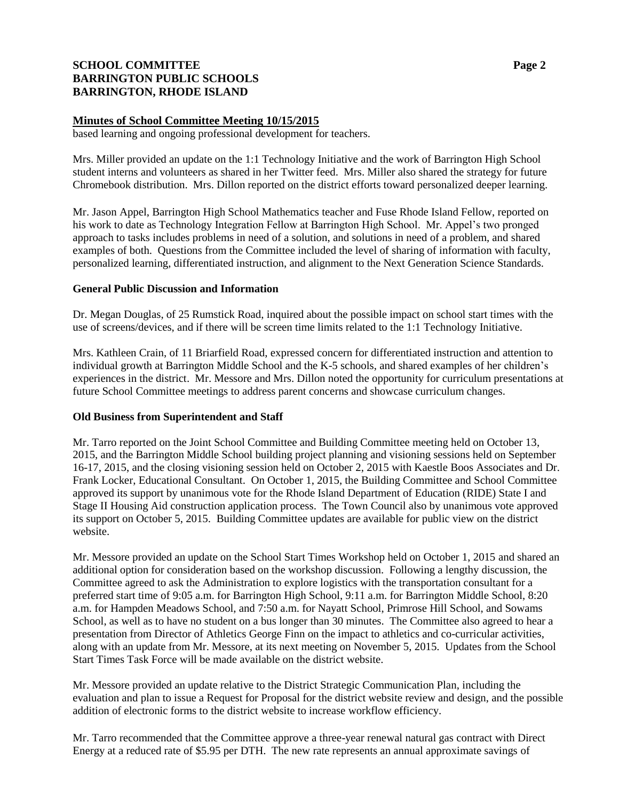# **SCHOOL COMMITTEE Page 2 BARRINGTON PUBLIC SCHOOLS BARRINGTON, RHODE ISLAND**

### **Minutes of School Committee Meeting 10/15/2015**

based learning and ongoing professional development for teachers.

Mrs. Miller provided an update on the 1:1 Technology Initiative and the work of Barrington High School student interns and volunteers as shared in her Twitter feed. Mrs. Miller also shared the strategy for future Chromebook distribution. Mrs. Dillon reported on the district efforts toward personalized deeper learning.

Mr. Jason Appel, Barrington High School Mathematics teacher and Fuse Rhode Island Fellow, reported on his work to date as Technology Integration Fellow at Barrington High School. Mr. Appel's two pronged approach to tasks includes problems in need of a solution, and solutions in need of a problem, and shared examples of both. Questions from the Committee included the level of sharing of information with faculty, personalized learning, differentiated instruction, and alignment to the Next Generation Science Standards.

### **General Public Discussion and Information**

Dr. Megan Douglas, of 25 Rumstick Road, inquired about the possible impact on school start times with the use of screens/devices, and if there will be screen time limits related to the 1:1 Technology Initiative.

Mrs. Kathleen Crain, of 11 Briarfield Road, expressed concern for differentiated instruction and attention to individual growth at Barrington Middle School and the K-5 schools, and shared examples of her children's experiences in the district. Mr. Messore and Mrs. Dillon noted the opportunity for curriculum presentations at future School Committee meetings to address parent concerns and showcase curriculum changes.

### **Old Business from Superintendent and Staff**

Mr. Tarro reported on the Joint School Committee and Building Committee meeting held on October 13, 2015, and the Barrington Middle School building project planning and visioning sessions held on September 16-17, 2015, and the closing visioning session held on October 2, 2015 with Kaestle Boos Associates and Dr. Frank Locker, Educational Consultant. On October 1, 2015, the Building Committee and School Committee approved its support by unanimous vote for the Rhode Island Department of Education (RIDE) State I and Stage II Housing Aid construction application process. The Town Council also by unanimous vote approved its support on October 5, 2015. Building Committee updates are available for public view on the district website.

Mr. Messore provided an update on the School Start Times Workshop held on October 1, 2015 and shared an additional option for consideration based on the workshop discussion. Following a lengthy discussion, the Committee agreed to ask the Administration to explore logistics with the transportation consultant for a preferred start time of 9:05 a.m. for Barrington High School, 9:11 a.m. for Barrington Middle School, 8:20 a.m. for Hampden Meadows School, and 7:50 a.m. for Nayatt School, Primrose Hill School, and Sowams School, as well as to have no student on a bus longer than 30 minutes. The Committee also agreed to hear a presentation from Director of Athletics George Finn on the impact to athletics and co-curricular activities, along with an update from Mr. Messore, at its next meeting on November 5, 2015. Updates from the School Start Times Task Force will be made available on the district website.

Mr. Messore provided an update relative to the District Strategic Communication Plan, including the evaluation and plan to issue a Request for Proposal for the district website review and design, and the possible addition of electronic forms to the district website to increase workflow efficiency.

Mr. Tarro recommended that the Committee approve a three-year renewal natural gas contract with Direct Energy at a reduced rate of \$5.95 per DTH. The new rate represents an annual approximate savings of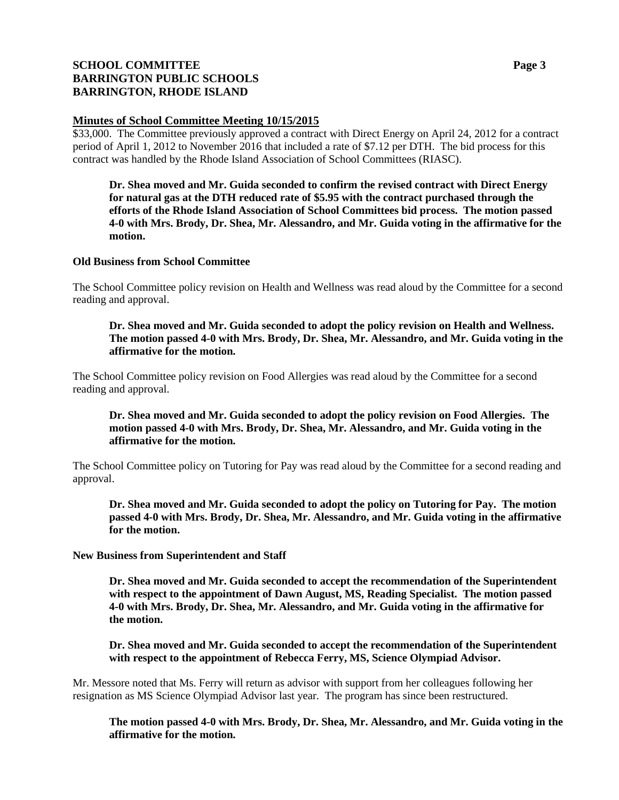# **SCHOOL COMMITTEE Page 3 BARRINGTON PUBLIC SCHOOLS BARRINGTON, RHODE ISLAND**

### **Minutes of School Committee Meeting 10/15/2015**

\$33,000. The Committee previously approved a contract with Direct Energy on April 24, 2012 for a contract period of April 1, 2012 to November 2016 that included a rate of \$7.12 per DTH. The bid process for this contract was handled by the Rhode Island Association of School Committees (RIASC).

**Dr. Shea moved and Mr. Guida seconded to confirm the revised contract with Direct Energy for natural gas at the DTH reduced rate of \$5.95 with the contract purchased through the efforts of the Rhode Island Association of School Committees bid process. The motion passed 4-0 with Mrs. Brody, Dr. Shea, Mr. Alessandro, and Mr. Guida voting in the affirmative for the motion.**

#### **Old Business from School Committee**

The School Committee policy revision on Health and Wellness was read aloud by the Committee for a second reading and approval.

### **Dr. Shea moved and Mr. Guida seconded to adopt the policy revision on Health and Wellness. The motion passed 4-0 with Mrs. Brody, Dr. Shea, Mr. Alessandro, and Mr. Guida voting in the affirmative for the motion.**

The School Committee policy revision on Food Allergies was read aloud by the Committee for a second reading and approval.

### **Dr. Shea moved and Mr. Guida seconded to adopt the policy revision on Food Allergies. The motion passed 4-0 with Mrs. Brody, Dr. Shea, Mr. Alessandro, and Mr. Guida voting in the affirmative for the motion.**

The School Committee policy on Tutoring for Pay was read aloud by the Committee for a second reading and approval.

**Dr. Shea moved and Mr. Guida seconded to adopt the policy on Tutoring for Pay. The motion passed 4-0 with Mrs. Brody, Dr. Shea, Mr. Alessandro, and Mr. Guida voting in the affirmative for the motion.**

**New Business from Superintendent and Staff**

**Dr. Shea moved and Mr. Guida seconded to accept the recommendation of the Superintendent with respect to the appointment of Dawn August, MS, Reading Specialist. The motion passed 4-0 with Mrs. Brody, Dr. Shea, Mr. Alessandro, and Mr. Guida voting in the affirmative for the motion.**

**Dr. Shea moved and Mr. Guida seconded to accept the recommendation of the Superintendent with respect to the appointment of Rebecca Ferry, MS, Science Olympiad Advisor.** 

Mr. Messore noted that Ms. Ferry will return as advisor with support from her colleagues following her resignation as MS Science Olympiad Advisor last year. The program has since been restructured.

**The motion passed 4-0 with Mrs. Brody, Dr. Shea, Mr. Alessandro, and Mr. Guida voting in the affirmative for the motion.**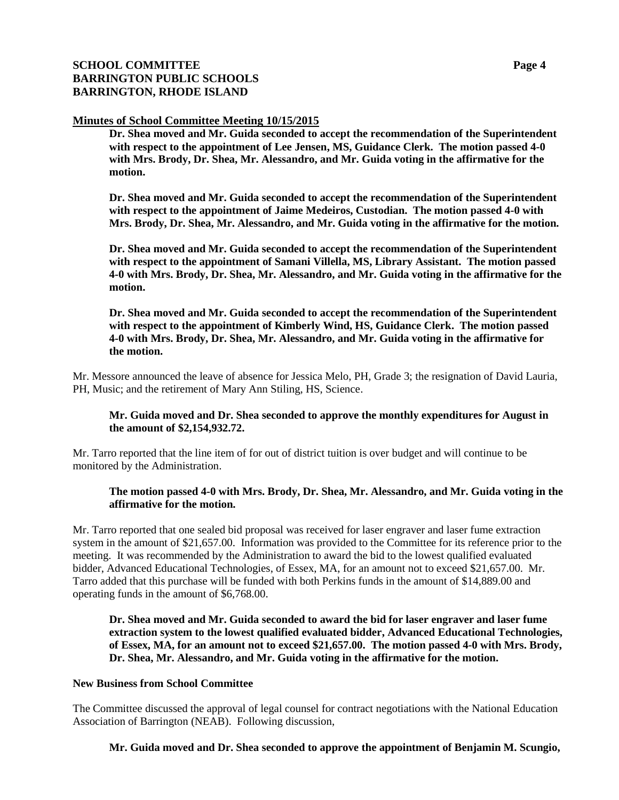# **SCHOOL COMMITTEE Page 4 BARRINGTON PUBLIC SCHOOLS BARRINGTON, RHODE ISLAND**

### **Minutes of School Committee Meeting 10/15/2015**

**Dr. Shea moved and Mr. Guida seconded to accept the recommendation of the Superintendent with respect to the appointment of Lee Jensen, MS, Guidance Clerk. The motion passed 4-0 with Mrs. Brody, Dr. Shea, Mr. Alessandro, and Mr. Guida voting in the affirmative for the motion.**

**Dr. Shea moved and Mr. Guida seconded to accept the recommendation of the Superintendent with respect to the appointment of Jaime Medeiros, Custodian. The motion passed 4-0 with Mrs. Brody, Dr. Shea, Mr. Alessandro, and Mr. Guida voting in the affirmative for the motion.**

**Dr. Shea moved and Mr. Guida seconded to accept the recommendation of the Superintendent with respect to the appointment of Samani Villella, MS, Library Assistant. The motion passed 4-0 with Mrs. Brody, Dr. Shea, Mr. Alessandro, and Mr. Guida voting in the affirmative for the motion.**

**Dr. Shea moved and Mr. Guida seconded to accept the recommendation of the Superintendent with respect to the appointment of Kimberly Wind, HS, Guidance Clerk. The motion passed 4-0 with Mrs. Brody, Dr. Shea, Mr. Alessandro, and Mr. Guida voting in the affirmative for the motion.**

Mr. Messore announced the leave of absence for Jessica Melo, PH, Grade 3; the resignation of David Lauria, PH, Music; and the retirement of Mary Ann Stiling, HS, Science.

### **Mr. Guida moved and Dr. Shea seconded to approve the monthly expenditures for August in the amount of \$2,154,932.72.**

Mr. Tarro reported that the line item of for out of district tuition is over budget and will continue to be monitored by the Administration.

### **The motion passed 4-0 with Mrs. Brody, Dr. Shea, Mr. Alessandro, and Mr. Guida voting in the affirmative for the motion.**

Mr. Tarro reported that one sealed bid proposal was received for laser engraver and laser fume extraction system in the amount of \$21,657.00. Information was provided to the Committee for its reference prior to the meeting. It was recommended by the Administration to award the bid to the lowest qualified evaluated bidder, Advanced Educational Technologies, of Essex, MA, for an amount not to exceed \$21,657.00. Mr. Tarro added that this purchase will be funded with both Perkins funds in the amount of \$14,889.00 and operating funds in the amount of \$6,768.00.

**Dr. Shea moved and Mr. Guida seconded to award the bid for laser engraver and laser fume extraction system to the lowest qualified evaluated bidder, Advanced Educational Technologies, of Essex, MA, for an amount not to exceed \$21,657.00. The motion passed 4-0 with Mrs. Brody, Dr. Shea, Mr. Alessandro, and Mr. Guida voting in the affirmative for the motion.**

#### **New Business from School Committee**

The Committee discussed the approval of legal counsel for contract negotiations with the National Education Association of Barrington (NEAB). Following discussion,

# **Mr. Guida moved and Dr. Shea seconded to approve the appointment of Benjamin M. Scungio,**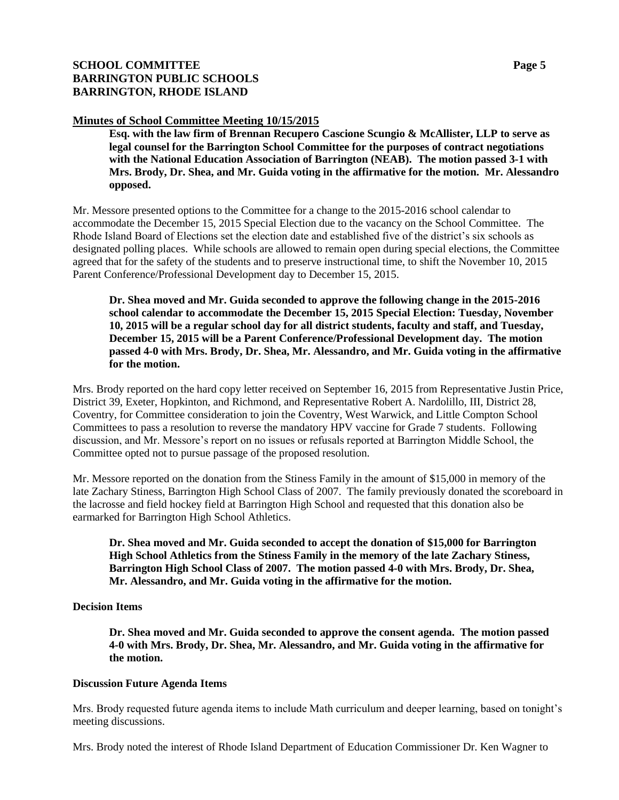# **SCHOOL COMMITTEE Page 5 BARRINGTON PUBLIC SCHOOLS BARRINGTON, RHODE ISLAND**

### **Minutes of School Committee Meeting 10/15/2015**

**Esq. with the law firm of Brennan Recupero Cascione Scungio & McAllister, LLP to serve as legal counsel for the Barrington School Committee for the purposes of contract negotiations with the National Education Association of Barrington (NEAB). The motion passed 3-1 with Mrs. Brody, Dr. Shea, and Mr. Guida voting in the affirmative for the motion. Mr. Alessandro opposed.**

Mr. Messore presented options to the Committee for a change to the 2015-2016 school calendar to accommodate the December 15, 2015 Special Election due to the vacancy on the School Committee. The Rhode Island Board of Elections set the election date and established five of the district's six schools as designated polling places. While schools are allowed to remain open during special elections, the Committee agreed that for the safety of the students and to preserve instructional time, to shift the November 10, 2015 Parent Conference/Professional Development day to December 15, 2015.

**Dr. Shea moved and Mr. Guida seconded to approve the following change in the 2015-2016 school calendar to accommodate the December 15, 2015 Special Election: Tuesday, November 10, 2015 will be a regular school day for all district students, faculty and staff, and Tuesday, December 15, 2015 will be a Parent Conference/Professional Development day. The motion passed 4-0 with Mrs. Brody, Dr. Shea, Mr. Alessandro, and Mr. Guida voting in the affirmative for the motion.**

Mrs. Brody reported on the hard copy letter received on September 16, 2015 from Representative Justin Price, District 39, Exeter, Hopkinton, and Richmond, and Representative Robert A. Nardolillo, III, District 28, Coventry, for Committee consideration to join the Coventry, West Warwick, and Little Compton School Committees to pass a resolution to reverse the mandatory HPV vaccine for Grade 7 students. Following discussion, and Mr. Messore's report on no issues or refusals reported at Barrington Middle School, the Committee opted not to pursue passage of the proposed resolution.

Mr. Messore reported on the donation from the Stiness Family in the amount of \$15,000 in memory of the late Zachary Stiness, Barrington High School Class of 2007. The family previously donated the scoreboard in the lacrosse and field hockey field at Barrington High School and requested that this donation also be earmarked for Barrington High School Athletics.

**Dr. Shea moved and Mr. Guida seconded to accept the donation of \$15,000 for Barrington High School Athletics from the Stiness Family in the memory of the late Zachary Stiness, Barrington High School Class of 2007. The motion passed 4-0 with Mrs. Brody, Dr. Shea, Mr. Alessandro, and Mr. Guida voting in the affirmative for the motion.**

### **Decision Items**

**Dr. Shea moved and Mr. Guida seconded to approve the consent agenda. The motion passed 4-0 with Mrs. Brody, Dr. Shea, Mr. Alessandro, and Mr. Guida voting in the affirmative for the motion.**

### **Discussion Future Agenda Items**

Mrs. Brody requested future agenda items to include Math curriculum and deeper learning, based on tonight's meeting discussions.

Mrs. Brody noted the interest of Rhode Island Department of Education Commissioner Dr. Ken Wagner to